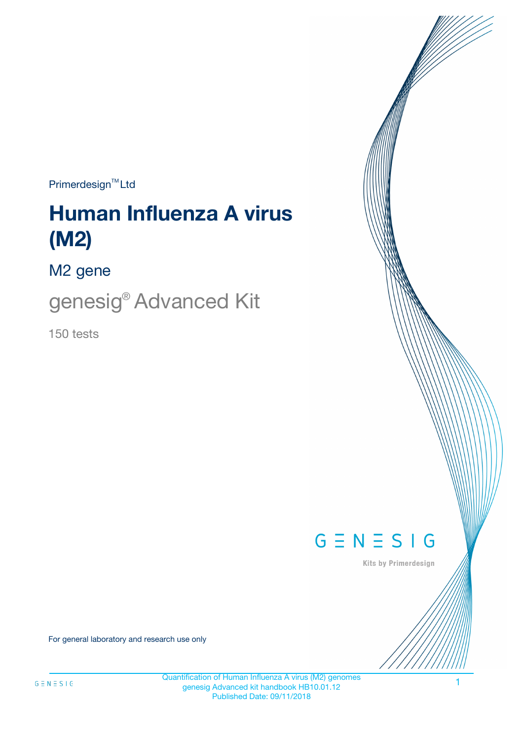$Primerdesign^{\text{TM}}Ltd$ 

# **Human Influenza A virus (M2)**

M2 gene

genesig® Advanced Kit

150 tests



Kits by Primerdesign

For general laboratory and research use only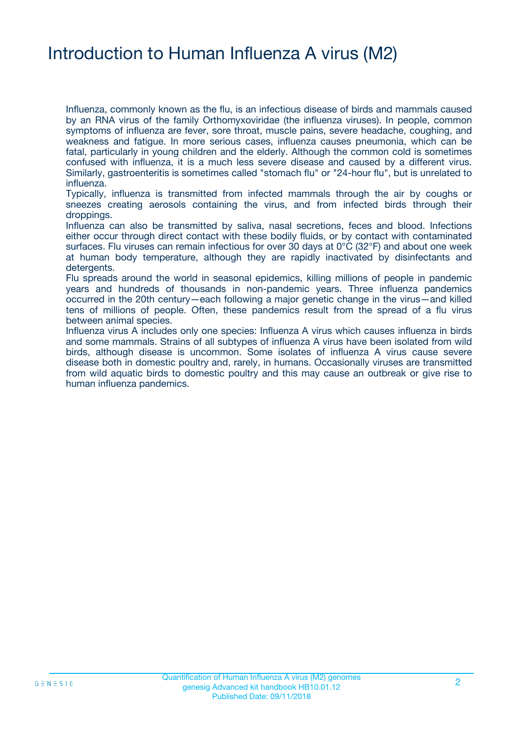### Introduction to Human Influenza A virus (M2)

Influenza, commonly known as the flu, is an infectious disease of birds and mammals caused by an RNA virus of the family Orthomyxoviridae (the influenza viruses). In people, common symptoms of influenza are fever, sore throat, muscle pains, severe headache, coughing, and weakness and fatigue. In more serious cases, influenza causes pneumonia, which can be fatal, particularly in young children and the elderly. Although the common cold is sometimes confused with influenza, it is a much less severe disease and caused by a different virus. Similarly, gastroenteritis is sometimes called "stomach flu" or "24-hour flu", but is unrelated to influenza.

Typically, influenza is transmitted from infected mammals through the air by coughs or sneezes creating aerosols containing the virus, and from infected birds through their droppings.

Influenza can also be transmitted by saliva, nasal secretions, feces and blood. Infections either occur through direct contact with these bodily fluids, or by contact with contaminated surfaces. Flu viruses can remain infectious for over 30 days at 0°C (32°F) and about one week at human body temperature, although they are rapidly inactivated by disinfectants and detergents.

Flu spreads around the world in seasonal epidemics, killing millions of people in pandemic years and hundreds of thousands in non-pandemic years. Three influenza pandemics occurred in the 20th century—each following a major genetic change in the virus—and killed tens of millions of people. Often, these pandemics result from the spread of a flu virus between animal species.

Influenza virus A includes only one species: Influenza A virus which causes influenza in birds and some mammals. Strains of all subtypes of influenza A virus have been isolated from wild birds, although disease is uncommon. Some isolates of influenza A virus cause severe disease both in domestic poultry and, rarely, in humans. Occasionally viruses are transmitted from wild aquatic birds to domestic poultry and this may cause an outbreak or give rise to human influenza pandemics.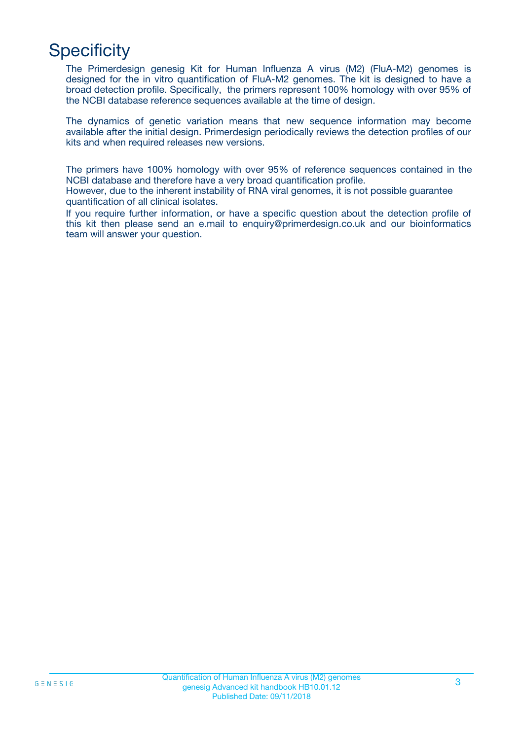# **Specificity**

The Primerdesign genesig Kit for Human Influenza A virus (M2) (FluA-M2) genomes is designed for the in vitro quantification of FluA-M2 genomes. The kit is designed to have a broad detection profile. Specifically, the primers represent 100% homology with over 95% of the NCBI database reference sequences available at the time of design.

The dynamics of genetic variation means that new sequence information may become available after the initial design. Primerdesign periodically reviews the detection profiles of our kits and when required releases new versions.

The primers have 100% homology with over 95% of reference sequences contained in the NCBI database and therefore have a very broad quantification profile.

However, due to the inherent instability of RNA viral genomes, it is not possible guarantee quantification of all clinical isolates.

If you require further information, or have a specific question about the detection profile of this kit then please send an e.mail to enquiry@primerdesign.co.uk and our bioinformatics team will answer your question.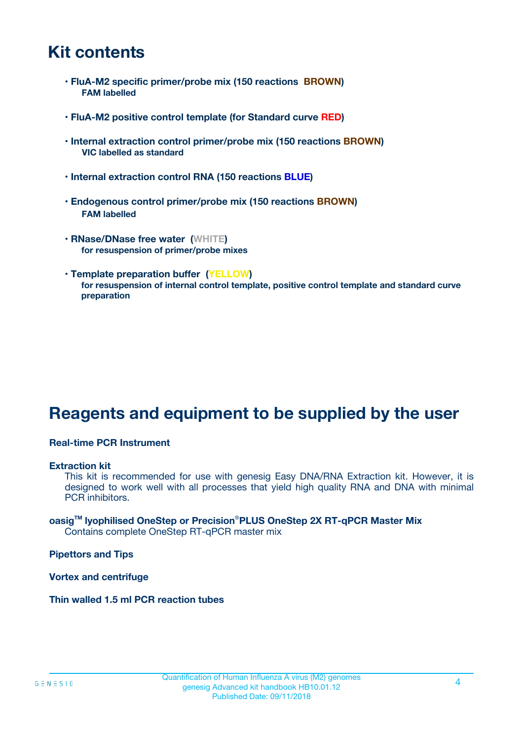### **Kit contents**

- **FluA-M2 specific primer/probe mix (150 reactions BROWN) FAM labelled**
- **FluA-M2 positive control template (for Standard curve RED)**
- **Internal extraction control primer/probe mix (150 reactions BROWN) VIC labelled as standard**
- **Internal extraction control RNA (150 reactions BLUE)**
- **Endogenous control primer/probe mix (150 reactions BROWN) FAM labelled**
- **RNase/DNase free water (WHITE) for resuspension of primer/probe mixes**
- **Template preparation buffer (YELLOW) for resuspension of internal control template, positive control template and standard curve preparation**

### **Reagents and equipment to be supplied by the user**

#### **Real-time PCR Instrument**

#### **Extraction kit**

This kit is recommended for use with genesig Easy DNA/RNA Extraction kit. However, it is designed to work well with all processes that yield high quality RNA and DNA with minimal PCR inhibitors.

#### **oasigTM lyophilised OneStep or Precision**®**PLUS OneStep 2X RT-qPCR Master Mix** Contains complete OneStep RT-qPCR master mix

**Pipettors and Tips**

**Vortex and centrifuge**

**Thin walled 1.5 ml PCR reaction tubes**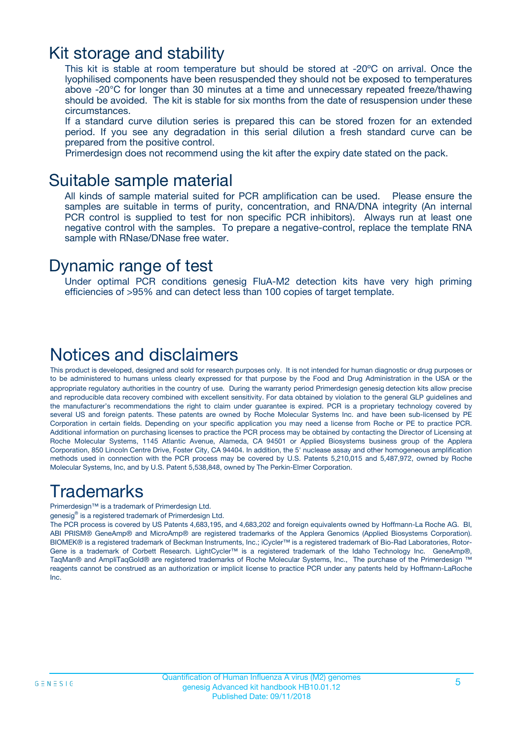### Kit storage and stability

This kit is stable at room temperature but should be stored at -20ºC on arrival. Once the lyophilised components have been resuspended they should not be exposed to temperatures above -20°C for longer than 30 minutes at a time and unnecessary repeated freeze/thawing should be avoided. The kit is stable for six months from the date of resuspension under these circumstances.

If a standard curve dilution series is prepared this can be stored frozen for an extended period. If you see any degradation in this serial dilution a fresh standard curve can be prepared from the positive control.

Primerdesign does not recommend using the kit after the expiry date stated on the pack.

### Suitable sample material

All kinds of sample material suited for PCR amplification can be used. Please ensure the samples are suitable in terms of purity, concentration, and RNA/DNA integrity (An internal PCR control is supplied to test for non specific PCR inhibitors). Always run at least one negative control with the samples. To prepare a negative-control, replace the template RNA sample with RNase/DNase free water.

### Dynamic range of test

Under optimal PCR conditions genesig FluA-M2 detection kits have very high priming efficiencies of >95% and can detect less than 100 copies of target template.

### Notices and disclaimers

This product is developed, designed and sold for research purposes only. It is not intended for human diagnostic or drug purposes or to be administered to humans unless clearly expressed for that purpose by the Food and Drug Administration in the USA or the appropriate regulatory authorities in the country of use. During the warranty period Primerdesign genesig detection kits allow precise and reproducible data recovery combined with excellent sensitivity. For data obtained by violation to the general GLP guidelines and the manufacturer's recommendations the right to claim under guarantee is expired. PCR is a proprietary technology covered by several US and foreign patents. These patents are owned by Roche Molecular Systems Inc. and have been sub-licensed by PE Corporation in certain fields. Depending on your specific application you may need a license from Roche or PE to practice PCR. Additional information on purchasing licenses to practice the PCR process may be obtained by contacting the Director of Licensing at Roche Molecular Systems, 1145 Atlantic Avenue, Alameda, CA 94501 or Applied Biosystems business group of the Applera Corporation, 850 Lincoln Centre Drive, Foster City, CA 94404. In addition, the 5' nuclease assay and other homogeneous amplification methods used in connection with the PCR process may be covered by U.S. Patents 5,210,015 and 5,487,972, owned by Roche Molecular Systems, Inc, and by U.S. Patent 5,538,848, owned by The Perkin-Elmer Corporation.

### Trademarks

Primerdesign™ is a trademark of Primerdesign Ltd.

genesig® is a registered trademark of Primerdesign Ltd.

The PCR process is covered by US Patents 4,683,195, and 4,683,202 and foreign equivalents owned by Hoffmann-La Roche AG. BI, ABI PRISM® GeneAmp® and MicroAmp® are registered trademarks of the Applera Genomics (Applied Biosystems Corporation). BIOMEK® is a registered trademark of Beckman Instruments, Inc.; iCycler™ is a registered trademark of Bio-Rad Laboratories, Rotor-Gene is a trademark of Corbett Research. LightCycler™ is a registered trademark of the Idaho Technology Inc. GeneAmp®, TaqMan® and AmpliTaqGold® are registered trademarks of Roche Molecular Systems, Inc., The purchase of the Primerdesign ™ reagents cannot be construed as an authorization or implicit license to practice PCR under any patents held by Hoffmann-LaRoche Inc.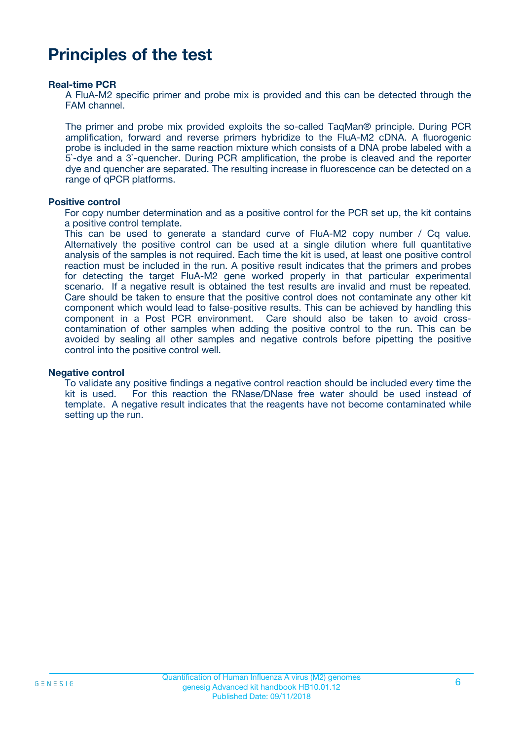### **Principles of the test**

#### **Real-time PCR**

A FluA-M2 specific primer and probe mix is provided and this can be detected through the FAM channel.

The primer and probe mix provided exploits the so-called TaqMan® principle. During PCR amplification, forward and reverse primers hybridize to the FluA-M2 cDNA. A fluorogenic probe is included in the same reaction mixture which consists of a DNA probe labeled with a 5`-dye and a 3`-quencher. During PCR amplification, the probe is cleaved and the reporter dye and quencher are separated. The resulting increase in fluorescence can be detected on a range of qPCR platforms.

#### **Positive control**

For copy number determination and as a positive control for the PCR set up, the kit contains a positive control template.

This can be used to generate a standard curve of FluA-M2 copy number / Cq value. Alternatively the positive control can be used at a single dilution where full quantitative analysis of the samples is not required. Each time the kit is used, at least one positive control reaction must be included in the run. A positive result indicates that the primers and probes for detecting the target FluA-M2 gene worked properly in that particular experimental scenario. If a negative result is obtained the test results are invalid and must be repeated. Care should be taken to ensure that the positive control does not contaminate any other kit component which would lead to false-positive results. This can be achieved by handling this component in a Post PCR environment. Care should also be taken to avoid crosscontamination of other samples when adding the positive control to the run. This can be avoided by sealing all other samples and negative controls before pipetting the positive control into the positive control well.

#### **Negative control**

To validate any positive findings a negative control reaction should be included every time the kit is used. For this reaction the RNase/DNase free water should be used instead of template. A negative result indicates that the reagents have not become contaminated while setting up the run.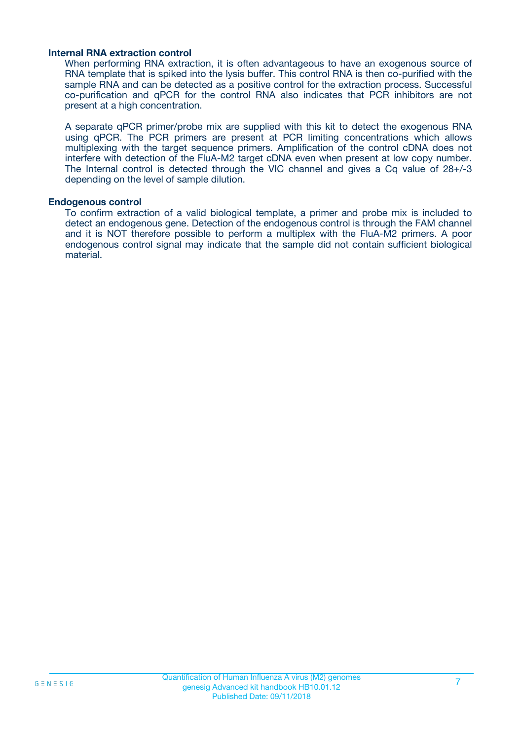#### **Internal RNA extraction control**

When performing RNA extraction, it is often advantageous to have an exogenous source of RNA template that is spiked into the lysis buffer. This control RNA is then co-purified with the sample RNA and can be detected as a positive control for the extraction process. Successful co-purification and qPCR for the control RNA also indicates that PCR inhibitors are not present at a high concentration.

A separate qPCR primer/probe mix are supplied with this kit to detect the exogenous RNA using qPCR. The PCR primers are present at PCR limiting concentrations which allows multiplexing with the target sequence primers. Amplification of the control cDNA does not interfere with detection of the FluA-M2 target cDNA even when present at low copy number. The Internal control is detected through the VIC channel and gives a Cq value of 28+/-3 depending on the level of sample dilution.

#### **Endogenous control**

To confirm extraction of a valid biological template, a primer and probe mix is included to detect an endogenous gene. Detection of the endogenous control is through the FAM channel and it is NOT therefore possible to perform a multiplex with the FluA-M2 primers. A poor endogenous control signal may indicate that the sample did not contain sufficient biological material.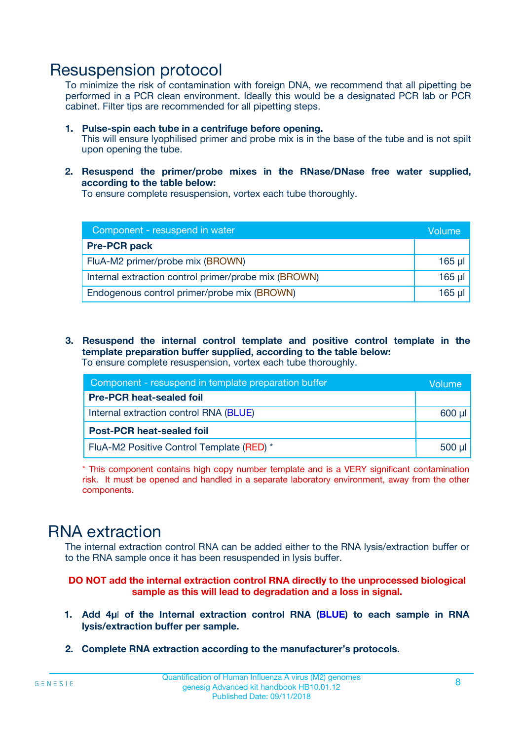### Resuspension protocol

To minimize the risk of contamination with foreign DNA, we recommend that all pipetting be performed in a PCR clean environment. Ideally this would be a designated PCR lab or PCR cabinet. Filter tips are recommended for all pipetting steps.

- **1. Pulse-spin each tube in a centrifuge before opening.** This will ensure lyophilised primer and probe mix is in the base of the tube and is not spilt upon opening the tube.
- **2. Resuspend the primer/probe mixes in the RNase/DNase free water supplied, according to the table below:**

To ensure complete resuspension, vortex each tube thoroughly.

| Component - resuspend in water                       | Volume   |
|------------------------------------------------------|----------|
| <b>Pre-PCR pack</b>                                  |          |
| FluA-M2 primer/probe mix (BROWN)                     | $165$ µl |
| Internal extraction control primer/probe mix (BROWN) | $165$ µl |
| Endogenous control primer/probe mix (BROWN)          | 165 µl   |

**3. Resuspend the internal control template and positive control template in the template preparation buffer supplied, according to the table below:** To ensure complete resuspension, vortex each tube thoroughly.

| Component - resuspend in template preparation buffer |  |  |  |
|------------------------------------------------------|--|--|--|
| <b>Pre-PCR heat-sealed foil</b>                      |  |  |  |
| Internal extraction control RNA (BLUE)               |  |  |  |
| <b>Post-PCR heat-sealed foil</b>                     |  |  |  |
| FluA-M2 Positive Control Template (RED) *            |  |  |  |

\* This component contains high copy number template and is a VERY significant contamination risk. It must be opened and handled in a separate laboratory environment, away from the other components.

### RNA extraction

The internal extraction control RNA can be added either to the RNA lysis/extraction buffer or to the RNA sample once it has been resuspended in lysis buffer.

**DO NOT add the internal extraction control RNA directly to the unprocessed biological sample as this will lead to degradation and a loss in signal.**

- **1. Add 4µ**l **of the Internal extraction control RNA (BLUE) to each sample in RNA lysis/extraction buffer per sample.**
- **2. Complete RNA extraction according to the manufacturer's protocols.**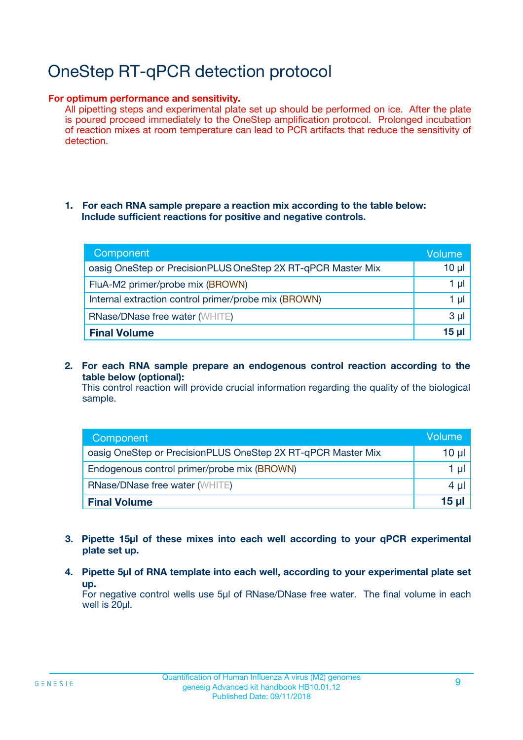# OneStep RT-qPCR detection protocol

#### **For optimum performance and sensitivity.**

All pipetting steps and experimental plate set up should be performed on ice. After the plate is poured proceed immediately to the OneStep amplification protocol. Prolonged incubation of reaction mixes at room temperature can lead to PCR artifacts that reduce the sensitivity of detection.

#### **1. For each RNA sample prepare a reaction mix according to the table below: Include sufficient reactions for positive and negative controls.**

| Component                                                    | Volume   |
|--------------------------------------------------------------|----------|
| oasig OneStep or PrecisionPLUS OneStep 2X RT-qPCR Master Mix | $10 \mu$ |
| FluA-M2 primer/probe mix (BROWN)                             | 1 µl     |
| Internal extraction control primer/probe mix (BROWN)         | 1 µI     |
| <b>RNase/DNase free water (WHITE)</b>                        | $3 \mu$  |
| <b>Final Volume</b>                                          | 15 ul    |

**2. For each RNA sample prepare an endogenous control reaction according to the table below (optional):**

This control reaction will provide crucial information regarding the quality of the biological sample.

| Component                                                    | Volume          |
|--------------------------------------------------------------|-----------------|
| oasig OneStep or PrecisionPLUS OneStep 2X RT-qPCR Master Mix | 10 µl           |
| Endogenous control primer/probe mix (BROWN)                  | 1 µl            |
| <b>RNase/DNase free water (WHITE)</b>                        | $4 \mu$         |
| <b>Final Volume</b>                                          | $15$ µl $\vert$ |

- **3. Pipette 15µl of these mixes into each well according to your qPCR experimental plate set up.**
- **4. Pipette 5µl of RNA template into each well, according to your experimental plate set up.**

For negative control wells use 5µl of RNase/DNase free water. The final volume in each well is 20µl.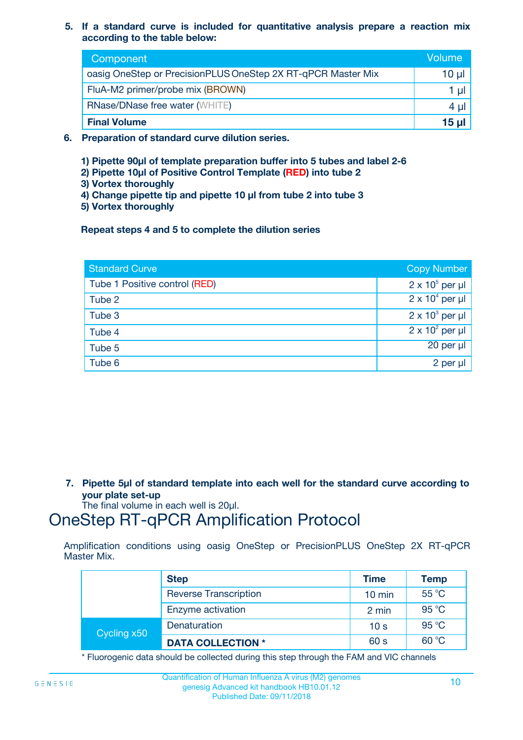**5. If a standard curve is included for quantitative analysis prepare a reaction mix according to the table below:**

| Component                                                    | Volume       |
|--------------------------------------------------------------|--------------|
| oasig OneStep or PrecisionPLUS OneStep 2X RT-qPCR Master Mix | $10 \mu$     |
| FluA-M2 primer/probe mix (BROWN)                             |              |
| <b>RNase/DNase free water (WHITE)</b>                        | 4 U          |
| <b>Final Volume</b>                                          | <u>15 µl</u> |

- **6. Preparation of standard curve dilution series.**
	- **1) Pipette 90µl of template preparation buffer into 5 tubes and label 2-6**
	- **2) Pipette 10µl of Positive Control Template (RED) into tube 2**
	- **3) Vortex thoroughly**
	- **4) Change pipette tip and pipette 10 µl from tube 2 into tube 3**
	- **5) Vortex thoroughly**

**Repeat steps 4 and 5 to complete the dilution series**

| <b>Standard Curve</b>         | <b>Copy Number</b>     |
|-------------------------------|------------------------|
| Tube 1 Positive control (RED) | $2 \times 10^5$ per µl |
| Tube 2                        | $2 \times 10^4$ per µl |
| Tube 3                        | $2 \times 10^3$ per µl |
| Tube 4                        | $2 \times 10^2$ per µl |
| Tube 5                        | 20 per µl              |
| Tube 6                        | $2$ per $\mu$          |

**7. Pipette 5µl of standard template into each well for the standard curve according to your plate set-up**

The final volume in each well is 20µl.

### OneStep RT-qPCR Amplification Protocol

Amplification conditions using oasig OneStep or PrecisionPLUS OneStep 2X RT-qPCR Master Mix.

|             | <b>Step</b>                  | <b>Time</b>      | <b>Temp</b> |
|-------------|------------------------------|------------------|-------------|
|             | <b>Reverse Transcription</b> | $10 \text{ min}$ | 55 °C       |
|             | Enzyme activation            | 2 min            | 95 °C       |
| Cycling x50 | Denaturation                 | 10 <sub>s</sub>  | 95 °C       |
|             | <b>DATA COLLECTION *</b>     | 60 s             | 60 °C       |

\* Fluorogenic data should be collected during this step through the FAM and VIC channels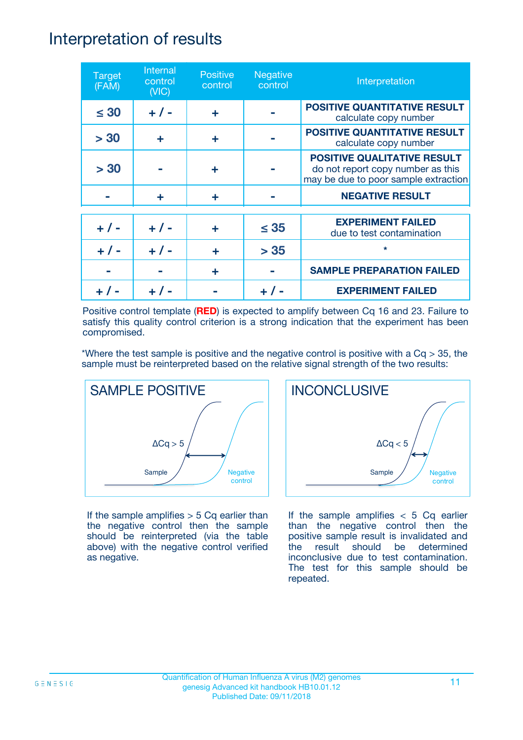### Interpretation of results

| <b>Target</b><br>(FAM) | Internal<br>control<br>(NIC) | <b>Positive</b><br>control | <b>Negative</b><br>control | Interpretation                                                                                                  |
|------------------------|------------------------------|----------------------------|----------------------------|-----------------------------------------------------------------------------------------------------------------|
| $\leq 30$              | $+ 1 -$                      | ÷                          |                            | <b>POSITIVE QUANTITATIVE RESULT</b><br>calculate copy number                                                    |
| > 30                   | ÷                            | ÷                          |                            | <b>POSITIVE QUANTITATIVE RESULT</b><br>calculate copy number                                                    |
| > 30                   |                              | ÷                          |                            | <b>POSITIVE QUALITATIVE RESULT</b><br>do not report copy number as this<br>may be due to poor sample extraction |
|                        | ÷                            | ÷                          |                            | <b>NEGATIVE RESULT</b>                                                                                          |
| $+ 1 -$                | $+ 1 -$                      | ÷                          | $\leq$ 35                  | <b>EXPERIMENT FAILED</b><br>due to test contamination                                                           |
| $+$ /                  | $+ 1 -$                      | ٠                          | > 35                       | $\star$                                                                                                         |
|                        |                              | ÷                          |                            | <b>SAMPLE PREPARATION FAILED</b>                                                                                |
|                        |                              |                            |                            | <b>EXPERIMENT FAILED</b>                                                                                        |

Positive control template (**RED**) is expected to amplify between Cq 16 and 23. Failure to satisfy this quality control criterion is a strong indication that the experiment has been compromised.

\*Where the test sample is positive and the negative control is positive with a  $Cq > 35$ , the sample must be reinterpreted based on the relative signal strength of the two results:



If the sample amplifies  $> 5$  Cq earlier than the negative control then the sample should be reinterpreted (via the table above) with the negative control verified as negative.



If the sample amplifies  $< 5$  Cq earlier than the negative control then the positive sample result is invalidated and the result should be determined inconclusive due to test contamination. The test for this sample should be repeated.